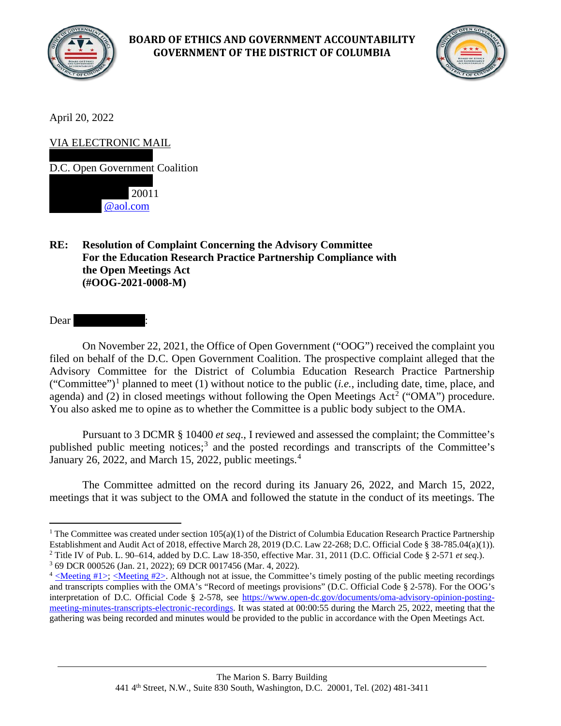

## **BOARD OF ETHICS AND GOVERNMENT ACCOUNTABILITY GOVERNMENT OF THE DISTRICT OF COLUMBIA**



April 20, 2022

VIA ELECTRONIC MAIL

D.C. Open Government Coalition

20011 [@aol.com](mailto:fmulhauser@aol.com)

**RE: Resolution of Complaint Concerning the Advisory Committee For the Education Research Practice Partnership Compliance with the Open Meetings Act (#OOG-2021-0008-M)**

Dear |

On November 22, 2021, the Office of Open Government ("OOG") received the complaint you filed on behalf of the D.C. Open Government Coalition. The prospective complaint alleged that the Advisory Committee for the District of Columbia Education Research Practice Partnership ("Committee")<sup>[1](#page-0-0)</sup> planned to meet (1) without notice to the public (*i.e.*, including date, time, place, and agenda) and ([2](#page-0-1)) in closed meetings without following the Open Meetings Act<sup>2</sup> ("OMA") procedure. You also asked me to opine as to whether the Committee is a public body subject to the OMA.

Pursuant to 3 DCMR § 10400 *et seq*., I reviewed and assessed the complaint; the Committee's published public meeting notices;<sup>[3](#page-0-2)</sup> and the posted recordings and transcripts of the Committee's January 26, 2022, and March 15, 2022, public meetings.<sup>[4](#page-0-3)</sup>

The Committee admitted on the record during its January 26, 2022, and March 15, 2022, meetings that it was subject to the OMA and followed the statute in the conduct of its meetings. The

<span id="page-0-0"></span><sup>&</sup>lt;sup>1</sup> The Committee was created under section  $105(a)(1)$  of the District of Columbia Education Research Practice Partnership Establishment and Audit Act of 2018, effective March 28, 2019 (D.C. Law 22-268; D.C. Official Code § 38-785.04(a)(1)). <sup>2</sup> Title IV of Pub. L. 90–614, added by D.C. Law 18-350, effective Mar. 31, 2011 (D.C. Official Code § 2-571 *et seq*.).

<span id="page-0-2"></span><span id="page-0-1"></span><sup>3</sup> 69 DCR 000526 (Jan. 21, 2022); 69 DCR 0017456 (Mar. 4, 2022).

<span id="page-0-3"></span><sup>&</sup>lt;sup>4</sup> <Meeting  $\#1$ >; <Meeting  $\#2$ >. Although not at issue, the Committee's timely posting of the public meeting recordings and transcripts complies with the OMA's "Record of meetings provisions" (D.C. Official Code § 2-578). For the OOG's interpretation of D.C. Official Code § 2-578, see [https://www.open-dc.gov/documents/oma-advisory-opinion-posting](https://www.open-dc.gov/documents/oma-advisory-opinion-posting-meeting-minutes-transcripts-electronic-recordings)[meeting-minutes-transcripts-electronic-recordings.](https://www.open-dc.gov/documents/oma-advisory-opinion-posting-meeting-minutes-transcripts-electronic-recordings) It was stated at 00:00:55 during the March 25, 2022, meeting that the gathering was being recorded and minutes would be provided to the public in accordance with the Open Meetings Act.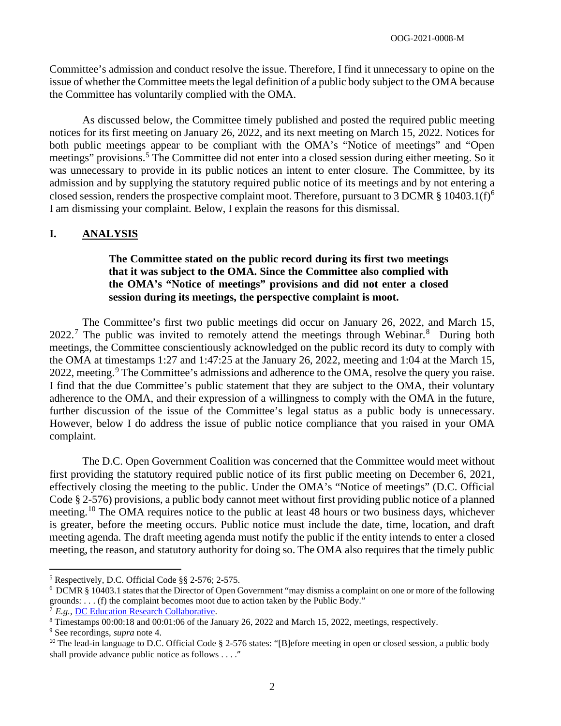Committee's admission and conduct resolve the issue. Therefore, I find it unnecessary to opine on the issue of whether the Committee meets the legal definition of a public body subject to the OMA because the Committee has voluntarily complied with the OMA.

As discussed below, the Committee timely published and posted the required public meeting notices for its first meeting on January 26, 2022, and its next meeting on March 15, 2022. Notices for both public meetings appear to be compliant with the OMA's "Notice of meetings" and "Open meetings" provisions.<sup>[5](#page-1-0)</sup> The Committee did not enter into a closed session during either meeting. So it was unnecessary to provide in its public notices an intent to enter closure. The Committee, by its admission and by supplying the statutory required public notice of its meetings and by not entering a closed session, renders the prospective complaint moot. Therefore, pursuant to 3 DCMR § 10403.1(f)<sup>[6](#page-1-1)</sup> I am dismissing your complaint. Below, I explain the reasons for this dismissal.

## **I. ANALYSIS**

## **The Committee stated on the public record during its first two meetings that it was subject to the OMA. Since the Committee also complied with the OMA's "Notice of meetings" provisions and did not enter a closed session during its meetings, the perspective complaint is moot.**

The Committee's first two public meetings did occur on January 26, 2022, and March 15,  $2022<sup>7</sup>$  $2022<sup>7</sup>$  $2022<sup>7</sup>$ . The public was invited to remotely attend the meetings through Webinar.<sup>[8](#page-1-3)</sup> During both meetings, the Committee conscientiously acknowledged on the public record its duty to comply with the OMA at timestamps 1:27 and 1:47:25 at the January 26, 2022, meeting and 1:04 at the March 15, 2022, meeting.<sup>[9](#page-1-4)</sup> The Committee's admissions and adherence to the OMA, resolve the query you raise. I find that the due Committee's public statement that they are subject to the OMA, their voluntary adherence to the OMA, and their expression of a willingness to comply with the OMA in the future, further discussion of the issue of the Committee's legal status as a public body is unnecessary. However, below I do address the issue of public notice compliance that you raised in your OMA complaint.

The D.C. Open Government Coalition was concerned that the Committee would meet without first providing the statutory required public notice of its first public meeting on December 6, 2021, effectively closing the meeting to the public. Under the OMA's "Notice of meetings" (D.C. Official Code § 2-576) provisions, a public body cannot meet without first providing public notice of a planned meeting.<sup>[10](#page-1-5)</sup> The OMA requires notice to the public at least 48 hours or two business days, whichever is greater, before the meeting occurs. Public notice must include the date, time, location, and draft meeting agenda. The draft meeting agenda must notify the public if the entity intends to enter a closed meeting, the reason, and statutory authority for doing so. The OMA also requires that the timely public

<sup>7</sup> *E.g.*[, DC Education Research Collaborative.](https://www.urban.org/projects/dc-education-research-collaborative)

<span id="page-1-0"></span><sup>5</sup> Respectively, D.C. Official Code §§ 2-576; 2-575.

<span id="page-1-1"></span><sup>6</sup> DCMR § 10403.1 states that the Director of Open Government "may dismiss a complaint on one or more of the following grounds: . . . (f) the complaint becomes moot due to action taken by the Public Body."

<span id="page-1-3"></span><span id="page-1-2"></span><sup>8</sup> Timestamps 00:00:18 and 00:01:06 of the January 26, 2022 and March 15, 2022, meetings, respectively.

<span id="page-1-4"></span><sup>9</sup> See recordings, *supra* note 4.

<span id="page-1-5"></span><sup>&</sup>lt;sup>10</sup> The lead-in language to D.C. Official Code § 2-576 states: "[B]efore meeting in open or closed session, a public body shall provide advance public notice as follows . . . ."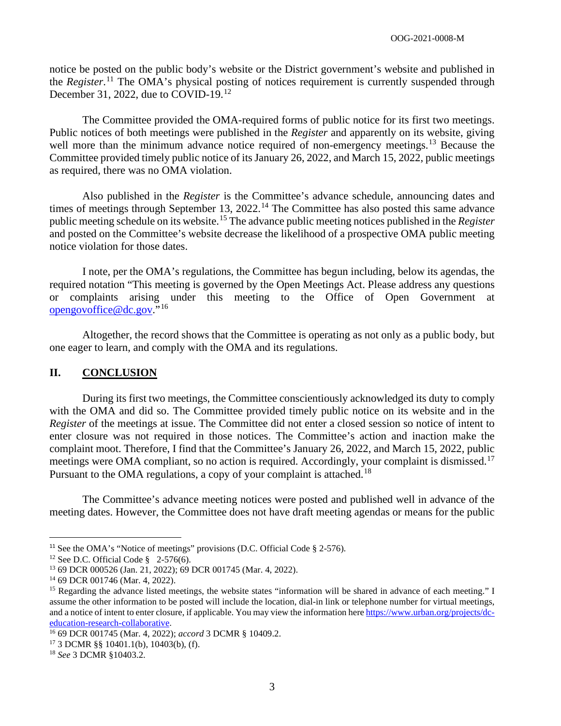notice be posted on the public body's website or the District government's website and published in the *Register*. [11](#page-2-0) The OMA's physical posting of notices requirement is currently suspended through December 31, 2022, due to COVID-19.<sup>[12](#page-2-1)</sup>

The Committee provided the OMA-required forms of public notice for its first two meetings. Public notices of both meetings were published in the *Register* and apparently on its website, giving well more than the minimum advance notice required of non-emergency meetings.<sup>[13](#page-2-2)</sup> Because the Committee provided timely public notice of its January 26, 2022, and March 15, 2022, public meetings as required, there was no OMA violation.

Also published in the *Register* is the Committee's advance schedule, announcing dates and times of meetings through September 13, 2022.<sup>[14](#page-2-3)</sup> The Committee has also posted this same advance public meeting schedule on its website.[15](#page-2-4) The advance public meeting notices published in the *Register* and posted on the Committee's website decrease the likelihood of a prospective OMA public meeting notice violation for those dates.

I note, per the OMA's regulations, the Committee has begun including, below its agendas, the required notation "This meeting is governed by the Open Meetings Act. Please address any questions or complaints arising under this meeting to the Office of Open Government at [opengovoffice@dc.gov.](mailto:open.govoffice@dc.gov)"[16](#page-2-5)

Altogether, the record shows that the Committee is operating as not only as a public body, but one eager to learn, and comply with the OMA and its regulations.

## **II. CONCLUSION**

During its first two meetings, the Committee conscientiously acknowledged its duty to comply with the OMA and did so. The Committee provided timely public notice on its website and in the *Register* of the meetings at issue. The Committee did not enter a closed session so notice of intent to enter closure was not required in those notices. The Committee's action and inaction make the complaint moot. Therefore, I find that the Committee's January 26, 2022, and March 15, 2022, public meetings were OMA compliant, so no action is required. Accordingly, your complaint is dismissed.<sup>[17](#page-2-6)</sup> Pursuant to the OMA regulations, a copy of your complaint is attached.<sup>[18](#page-2-7)</sup>

The Committee's advance meeting notices were posted and published well in advance of the meeting dates. However, the Committee does not have draft meeting agendas or means for the public

<span id="page-2-0"></span><sup>&</sup>lt;sup>11</sup> See the OMA's "Notice of meetings" provisions (D.C. Official Code § 2-576).

<span id="page-2-1"></span><sup>&</sup>lt;sup>12</sup> See D.C. Official Code  $\frac{8}{9}$  2-576(6).

<span id="page-2-2"></span><sup>13</sup> 69 DCR 000526 (Jan. 21, 2022); 69 DCR 001745 (Mar. 4, 2022).

<span id="page-2-3"></span><sup>14</sup> 69 DCR 001746 (Mar. 4, 2022).

<span id="page-2-4"></span><sup>&</sup>lt;sup>15</sup> Regarding the advance listed meetings, the website states "information will be shared in advance of each meeting." I assume the other information to be posted will include the location, dial-in link or telephone number for virtual meetings, and a notice of intent to enter closure, if applicable. You may view the information her[e https://www.urban.org/projects/dc](https://www.urban.org/projects/dc-education-research-collaborative)[education-research-collaborative](https://www.urban.org/projects/dc-education-research-collaborative).

<span id="page-2-5"></span><sup>16</sup> 69 DCR 001745 (Mar. 4, 2022); *accord* 3 DCMR § 10409.2.

<span id="page-2-6"></span> $17$  3 DCMR §§ 10401.1(b), 10403(b), (f).

<span id="page-2-7"></span><sup>18</sup> *See* 3 DCMR §10403.2.